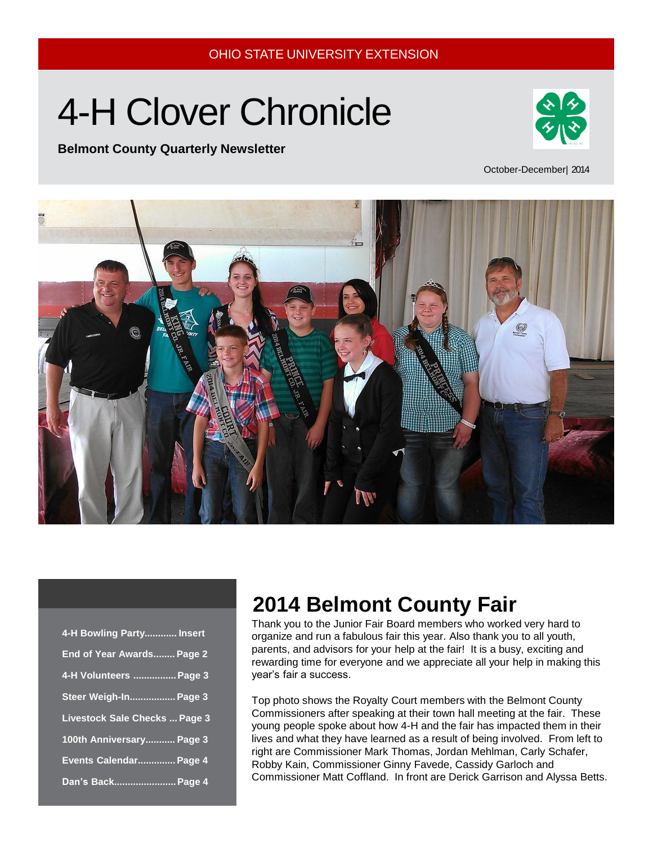# 4-H Clover Chronicle



### **Belmont County Quarterly Newsletter**

October-December| 2014



| 4-H Bowling Party Insert             |
|--------------------------------------|
| End of Year Awards Page 2            |
| 4-H Volunteers  Page 3               |
| Steer Weigh-In Page 3                |
| <b>Livestock Sale Checks  Page 3</b> |
| 100th Anniversary Page 3             |
| Events Calendar Page 4               |
| Dan's Back Page 4                    |

## **2014 Belmont County Fair**

Thank you to the Junior Fair Board members who worked very hard to organize and run a fabulous fair this year. Also thank you to all youth, parents, and advisors for your help at the fair! It is a busy, exciting and rewarding time for everyone and we appreciate all your help in making this year's fair a success.

Top photo shows the Royalty Court members with the Belmont County Commissioners after speaking at their town hall meeting at the fair. These young people spoke about how 4-H and the fair has impacted them in their lives and what they have learned as a result of being involved. From left to right are Commissioner Mark Thomas, Jordan Mehlman, Carly Schafer, Robby Kain, Commissioner Ginny Favede, Cassidy Garloch and Commissioner Matt Coffland. In front are Derick Garrison and Alyssa Betts.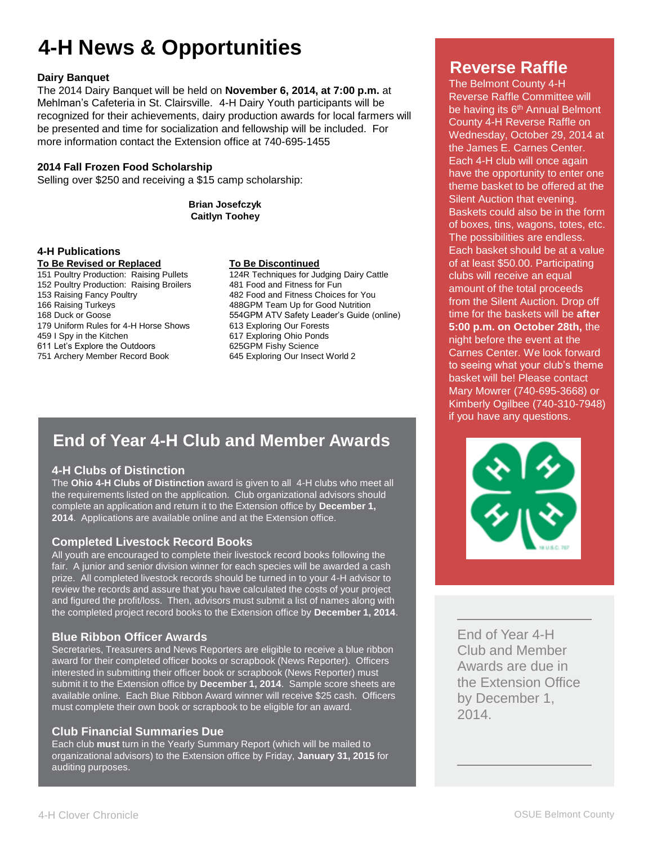# **4-H News & Opportunities**

### **Dairy Banquet**

The 2014 Dairy Banquet will be held on **November 6, 2014, at 7:00 p.m.** at Mehlman's Cafeteria in St. Clairsville. 4-H Dairy Youth participants will be recognized for their achievements, dairy production awards for local farmers will be presented and time for socialization and fellowship will be included. For more information contact the Extension office at 740-695-1455

### **2014 Fall Frozen Food Scholarship**

Selling over \$250 and receiving a \$15 camp scholarship:

**Brian Josefczyk Caitlyn Toohey**

### **4-H Publications**

**To Be Revised or Replaced <br>
151 Poultry Production: Raising Pullets <br>
124R Techniques for Ju** 152 Poultry Production: Raising Broilers 153 Raising Fancy Poultry 482 Food and Fitness Choices for You 166 Raising Turkeys 488GPM Team Up for Good Nutrition 179 Uniform Rules for 4-H Horse Shows 613 Exploring Our Forests<br>459 I Spy in the Kitchen 617 Exploring Ohio Ponds 459 I Spy in the Kitchen 617 Exploring Ohio Ponds<br>611 Let's Explore the Outdoors 625GPM Fishy Science 611 Let's Explore the Outdoors 625GPM Fishy Science 751 Archery Member Record Book

124R Techniques for Judging Dairy Cattle<br>481 Food and Fitness for Fun 554 GPM ATV Safety Leader's Guide (online)

### **End of Year 4-H Club and Member Awards**

### **4-H Clubs of Distinction**

the requirements listed on the application. Club organizational advisors should complete an application and return it to the Extension office by December 1, **2014**. Applications are available online and at the Extension office. The **Ohio 4-H Clubs of Distinction** award is given to all 4-H clubs who meet all

### **Completed Livestock Record Books**

OUTIPIC CULTUCSTOON TICCOTU DOONS<br>All youth are encouraged to complete their livestock record books following the A pount are shooting of to somplete their incensent social books reliefining the<br>fair. A junior and senior division winner for each species will be awarded a cash prize. All completed livestock records should be turned in to your 4-H advisor to Sure that you have built  $\overline{\text{ord}}$  books to the Ex review the records and assure that you have calculated the costs of your project and figured the profit/loss. Then, advisors must submit a list of names along with the completed project record books to the Extension office by **December 1, 2014**.

### **Blue Ribbon Officer Awards**

Secretaries, Treasurers and News Reporters are eligible to receive a blue ribbon award for their completed officer books or scrapbook (News Reporter). Officers interested in submitting their officer book or scrapbook (News Reporter) must submit it to the Extension office by **December 1, 2014**. Sample score sheets are available online. Each Blue Ribbon Award winner will receive \$25 cash. Officers must complete their own book or scrapbook to be eligible for an award.

### **Club Financial Summaries Due**

Each club **must** turn in the Yearly Summary Report (which will be mailed to organizational advisors) to the Extension office by Friday, **January 31, 2015** for auditing purposes.

### **Reverse Raffle**

The Belmont County 4-H Reverse Raffle Committee will be having its 6<sup>th</sup> Annual Belmont County 4-H Reverse Raffle on Wednesday, October 29, 2014 at the James E. Carnes Center. Each 4-H club will once again have the opportunity to enter one theme basket to be offered at the Silent Auction that evening. Baskets could also be in the form of boxes, tins, wagons, totes, etc. The possibilities are endless. Each basket should be at a value of at least \$50.00. Participating clubs will receive an equal amount of the total proceeds from the Silent Auction. Drop off time for the baskets will be **after 5:00 p.m. on October 28th,** the night before the event at the Carnes Center. We look forward to seeing what your club's theme basket will be! Please contact Mary Mowrer (740-695-3668) or Kimberly Ogilbee (740-310-7948) if you have any questions.



End of Year 4-H Club and Member Awards are due in the Extension Office by December 1, 2014.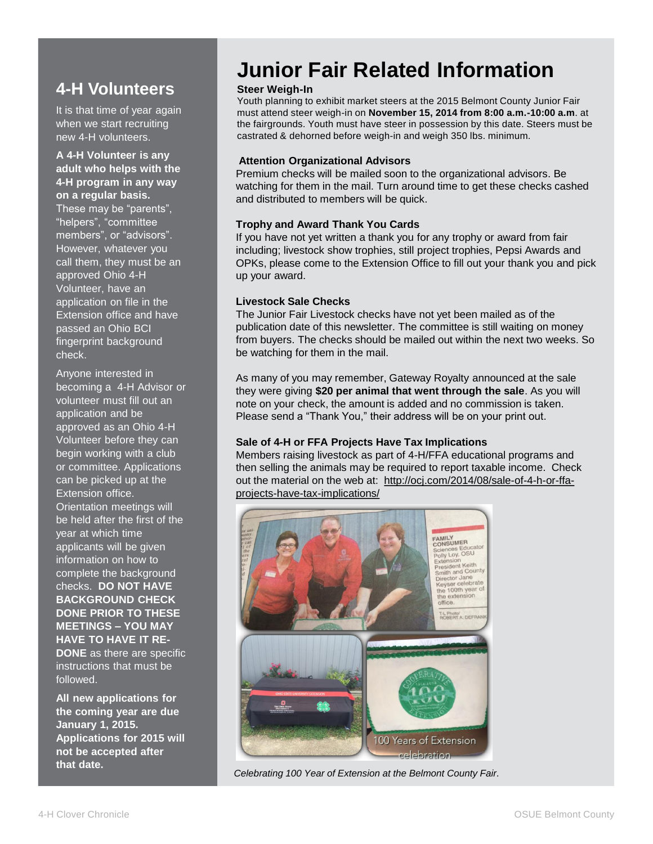### **4-H Volunteers**

It is that time of year again when we start recruiting new 4-H volunteers.

**A 4-H Volunteer is any adult who helps with the 4-H program in any way on a regular basis.** 

These may be "parents", "helpers", "committee members", or "advisors". However, whatever you call them, they must be an approved Ohio 4-H Volunteer, have an application on file in the Extension office and have passed an Ohio BCI fingerprint background check.

Anyone interested in becoming a 4-H Advisor or volunteer must fill out an application and be approved as an Ohio 4-H Volunteer before they can begin working with a club or committee. Applications can be picked up at the Extension office. Orientation meetings will be held after the first of the year at which time applicants will be given information on how to complete the background checks. **DO NOT HAVE BACKGROUND CHECK DONE PRIOR TO THESE MEETINGS – YOU MAY HAVE TO HAVE IT RE-DONE** as there are specific instructions that must be followed.

**All new applications for the coming year are due January 1, 2015. Applications for 2015 will not be accepted after that date.** 

### **Junior Fair Related Information**

### **Steer Weigh-In**

Youth planning to exhibit market steers at the 2015 Belmont County Junior Fair must attend steer weigh-in on **November 15, 2014 from 8:00 a.m.-10:00 a.m**. at the fairgrounds. Youth must have steer in possession by this date. Steers must be castrated & dehorned before weigh-in and weigh 350 lbs. minimum.

### **Attention Organizational Advisors**

Premium checks will be mailed soon to the organizational advisors. Be watching for them in the mail. Turn around time to get these checks cashed and distributed to members will be quick.

### **Trophy and Award Thank You Cards**

If you have not yet written a thank you for any trophy or award from fair including; livestock show trophies, still project trophies, Pepsi Awards and OPKs, please come to the Extension Office to fill out your thank you and pick up your award.

### **Livestock Sale Checks**

The Junior Fair Livestock checks have not yet been mailed as of the publication date of this newsletter. The committee is still waiting on money from buyers. The checks should be mailed out within the next two weeks. So be watching for them in the mail.

As many of you may remember, Gateway Royalty announced at the sale they were giving **\$20 per animal that went through the sale**. As you will note on your check, the amount is added and no commission is taken. Please send a "Thank You," their address will be on your print out.

### **Sale of 4-H or FFA Projects Have Tax Implications**

Members raising livestock as part of 4-H/FFA educational programs and then selling the animals may be required to report taxable income. Check out the material on the web at: [http://ocj.com/2014/08/sale-of-4-h-or-ffa](http://ocj.com/2014/08/sale-of-4-h-or-ffa-projects-have-tax-implications/)[projects-have-tax-implications/](http://ocj.com/2014/08/sale-of-4-h-or-ffa-projects-have-tax-implications/)



*Celebrating 100 Year of Extension at the Belmont County Fair.*